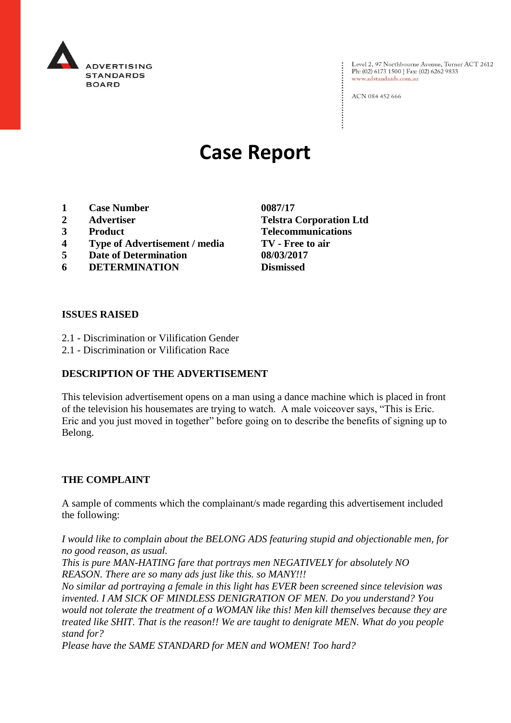

Level 2, 97 Northbourne Avenue, Turner ACT 2612<br>Ph: (02) 6173 1500 | Fax: (02) 6262 9833 www.adstandards.com.au

ACN 084 452 666

# **Case Report**

- **1 Case Number 0087/17**
- 
- 
- **4 Type of Advertisement / media TV - Free to air**
- **5 Date of Determination 08/03/2017**
- **6 DETERMINATION Dismissed**

**2 Advertiser Telstra Corporation Ltd 3 Product Telecommunications**

#### **ISSUES RAISED**

- 2.1 Discrimination or Vilification Gender
- 2.1 Discrimination or Vilification Race

#### **DESCRIPTION OF THE ADVERTISEMENT**

This television advertisement opens on a man using a dance machine which is placed in front of the television his housemates are trying to watch. A male voiceover says, "This is Eric. Eric and you just moved in together" before going on to describe the benefits of signing up to Belong.

#### **THE COMPLAINT**

A sample of comments which the complainant/s made regarding this advertisement included the following:

*I would like to complain about the BELONG ADS featuring stupid and objectionable men, for no good reason, as usual.*

*This is pure MAN-HATING fare that portrays men NEGATIVELY for absolutely NO REASON. There are so many ads just like this. so MANY!!!*

*No similar ad portraying a female in this light has EVER been screened since television was invented. I AM SICK OF MINDLESS DENIGRATION OF MEN. Do you understand? You would not tolerate the treatment of a WOMAN like this! Men kill themselves because they are treated like SHIT. That is the reason!! We are taught to denigrate MEN. What do you people stand for?*

*Please have the SAME STANDARD for MEN and WOMEN! Too hard?*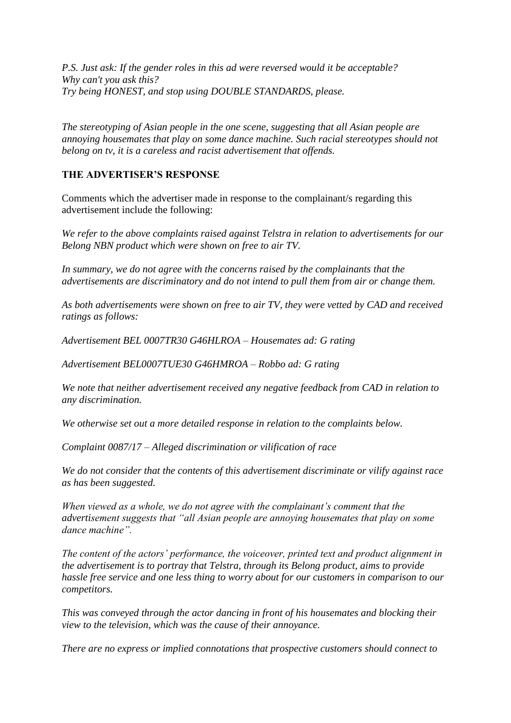*P.S. Just ask: If the gender roles in this ad were reversed would it be acceptable? Why can't you ask this? Try being HONEST, and stop using DOUBLE STANDARDS, please.*

*The stereotyping of Asian people in the one scene, suggesting that all Asian people are annoying housemates that play on some dance machine. Such racial stereotypes should not belong on tv, it is a careless and racist advertisement that offends.*

### **THE ADVERTISER'S RESPONSE**

Comments which the advertiser made in response to the complainant/s regarding this advertisement include the following:

*We refer to the above complaints raised against Telstra in relation to advertisements for our Belong NBN product which were shown on free to air TV.*

In summary, we do not agree with the concerns raised by the complainants that the *advertisements are discriminatory and do not intend to pull them from air or change them.*

*As both advertisements were shown on free to air TV, they were vetted by CAD and received ratings as follows:*

*Advertisement BEL 0007TR30 G46HLROA – Housemates ad: G rating*

*Advertisement BEL0007TUE30 G46HMROA – Robbo ad: G rating*

*We note that neither advertisement received any negative feedback from CAD in relation to any discrimination.*

*We otherwise set out a more detailed response in relation to the complaints below.*

*Complaint 0087/17 – Alleged discrimination or vilification of race*

*We do not consider that the contents of this advertisement discriminate or vilify against race as has been suggested.*

*When viewed as a whole, we do not agree with the complainant's comment that the advertisement suggests that "all Asian people are annoying housemates that play on some dance machine".*

*The content of the actors' performance, the voiceover, printed text and product alignment in the advertisement is to portray that Telstra, through its Belong product, aims to provide hassle free service and one less thing to worry about for our customers in comparison to our competitors.*

*This was conveyed through the actor dancing in front of his housemates and blocking their view to the television, which was the cause of their annoyance.*

*There are no express or implied connotations that prospective customers should connect to*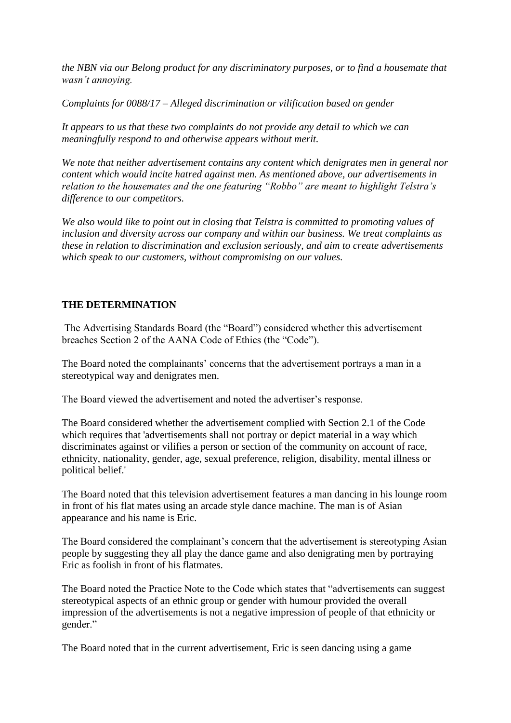*the NBN via our Belong product for any discriminatory purposes, or to find a housemate that wasn't annoying.*

*Complaints for 0088/17 – Alleged discrimination or vilification based on gender*

*It appears to us that these two complaints do not provide any detail to which we can meaningfully respond to and otherwise appears without merit.*

We note that neither advertisement contains any content which denigrates men in general nor *content which would incite hatred against men. As mentioned above, our advertisements in relation to the housemates and the one featuring "Robbo" are meant to highlight Telstra's difference to our competitors.*

*We also would like to point out in closing that Telstra is committed to promoting values of inclusion and diversity across our company and within our business. We treat complaints as these in relation to discrimination and exclusion seriously, and aim to create advertisements which speak to our customers, without compromising on our values.*

## **THE DETERMINATION**

The Advertising Standards Board (the "Board") considered whether this advertisement breaches Section 2 of the AANA Code of Ethics (the "Code").

The Board noted the complainants' concerns that the advertisement portrays a man in a stereotypical way and denigrates men.

The Board viewed the advertisement and noted the advertiser's response.

The Board considered whether the advertisement complied with Section 2.1 of the Code which requires that 'advertisements shall not portray or depict material in a way which discriminates against or vilifies a person or section of the community on account of race, ethnicity, nationality, gender, age, sexual preference, religion, disability, mental illness or political belief.'

The Board noted that this television advertisement features a man dancing in his lounge room in front of his flat mates using an arcade style dance machine. The man is of Asian appearance and his name is Eric.

The Board considered the complainant's concern that the advertisement is stereotyping Asian people by suggesting they all play the dance game and also denigrating men by portraying Eric as foolish in front of his flatmates.

The Board noted the Practice Note to the Code which states that "advertisements can suggest stereotypical aspects of an ethnic group or gender with humour provided the overall impression of the advertisements is not a negative impression of people of that ethnicity or gender."

The Board noted that in the current advertisement, Eric is seen dancing using a game